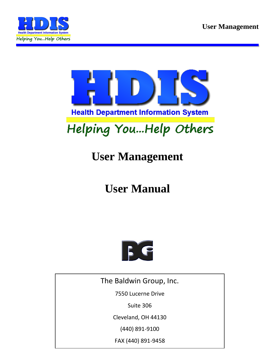



# **User Manual**



The Baldwin Group, Inc.

7550 Lucerne Drive

Suite 306

Cleveland, OH 44130

(440) 891-9100

FAX (440) 891-9458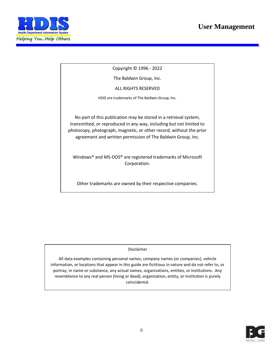

Copyright © 1996 - 2022

The Baldwin Group, Inc.

ALL RIGHTS RESERVED

HDIS are trademarks of The Baldwin Group, Inc.

No part of this publication may be stored in a retrieval system, transmitted, or reproduced in any way, including but not limited to photocopy, photograph, magnetic, or other record, without the prior agreement and written permission of The Baldwin Group, Inc.

Windows® and MS-DOS® are registered trademarks of Microsoft Corporation.

Other trademarks are owned by their respective companies.

THE FURNISHING, PERFORMANCE, OR USE OF THE PURISHING, PERFORMANCE, OR USE OF THE PERFORMANCE, OR USE OF THE PERFORMANCE, OR USE OF THE PERFORMANCE OF THE PERFORMANCE OF THE PERFORMANCE OF THE PERFORMANCE OF THE PERFORMANCE THIS MATERIAL.

All data examples containing personal names, company names (or companies), vehicle information, or locations that appear in this guide are fictitious in nature and do not refer to, or portray, in name or substance, any actual names, organizations, entities, or institutions. Any resemblance to any real person (living or dead), organization, entity, or institution is purely coincidental.

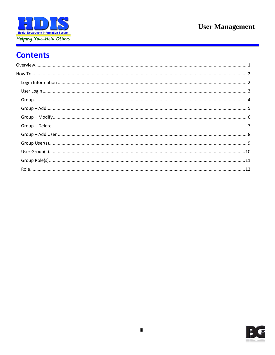

## **Contents**

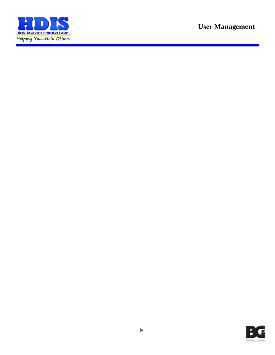

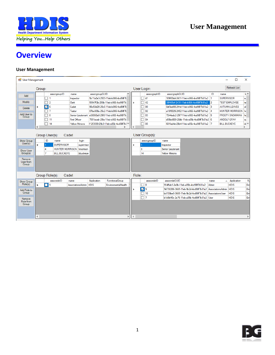

# <span id="page-4-0"></span>**Overview**

#### **User Management**

| <b>DE</b> User Management |        |                         |                         |                                    |                |                                     |           |              |                |                       |                                                        |          |                     | □                          | $\times$      |
|---------------------------|--------|-------------------------|-------------------------|------------------------------------|----------------|-------------------------------------|-----------|--------------|----------------|-----------------------|--------------------------------------------------------|----------|---------------------|----------------------------|---------------|
|                           | Group: |                         |                         |                                    |                |                                     |           |              | User Login:    |                       |                                                        |          |                     | <b>Refresh List</b>        |               |
| Add                       |        |                         | assocgroupID            | name                               | assocgroupGUID | ۸                                   |           |              | assocgraphID   | assocgraphGUID        |                                                        | ID       | name                |                            | $\mathbf{k}$  |
|                           |        | $\Box$ 1                |                         | Inspector                          |                | 5b11a0e3-2503-11eb-b866-4cd98f7t    |           | $\Box$ 41    |                |                       | 309f00dd-2431-11eb-b866-4cd98f7b81a2                   | 1        | <b>SUPERVISOR</b>   |                            | SL            |
| Modify                    |        | $\Box$                  | $\overline{2}$          | Clerk                              |                | 55947f2b-250b-11eb-b866-4cd98f7b    |           |              | $\Box$ 42      |                       | 30f465cf-2431-11eb-b866-4cd98f7b81a2                   | <b>2</b> |                     | <b>TEST EMPLOYEE</b>       | te            |
| Delete                    | ь      | $\overline{\mathbf{z}}$ | l 6                     | Cadet                              |                | 95c53d20-25c0-11eb-b866-4cd98f7t    |           |              | $\Box$ 80      |                       | 0af3ed08-244d-11eb-b866-4cd98f7b81a2 3                 |          |                     | <b>AUTUMN LEAVES</b>       | al            |
|                           |        | $\Box$ 7                |                         | Tester                             |                | 07be939a-25c2-11eb-b866-4cd98f7t    |           |              | $\Box$ 82      |                       | a13f5029-2452-11eb-b866-4cd98f7b81a2 4                 |          |                     | <b>HUNTER MORRISON Ihr</b> |               |
| Add User to<br>Group      |        | $\Box$                  | $\overline{\mathbf{8}}$ | Senior Lieutenant                  |                | e68060a0-25f0-11eb-b866-4cd98f7b    |           |              | $\Box$ 83      |                       | 7244adc2-25f7-11eb-b866-4cd98f7b81a2 5                 |          |                     | <b>FROSTY SNOWMAN</b>      | fs            |
|                           |        | $\Box$                  | 11                      | <b>First Officer</b>               |                | 7551acab-25fa-11eb-b866-4cd98f7b    |           | $\mathsf{L}$ | 84             |                       | d59bd869-28db-11eb-a85b-4cd98f7b81a2 6                 |          | <b>ANDOLF GRAY</b>  |                            | aç            |
|                           |        | $\Box$ 14               |                         | <b>Yellow Minions</b>              |                | f12f3599-29b3-11eb-a85b-4cd98f7b8 V |           | $\Box$ 85    |                |                       | 681fad4e-29b4-11eb-a85b-4cd98f7b81a2 7                 |          | <b>BILL BUCKEYE</b> |                            | bł v          |
|                           | $\leq$ |                         |                         |                                    |                | $\rightarrow$                       | ∢         |              |                |                       |                                                        |          |                     |                            | $\rightarrow$ |
|                           |        |                         | Group User(s):<br>Cadet |                                    |                |                                     |           |              | User Group(s): |                       |                                                        |          |                     |                            |               |
| Show Group                |        | ID                      | name                    | login                              |                |                                     |           |              | assocgroupID   | name                  |                                                        |          |                     |                            |               |
| User(s)                   | ь      |                         | <b>SUPERVISOR</b>       | supervisor                         |                |                                     |           |              |                | Inspector             |                                                        |          |                     |                            |               |
| <b>Show User</b>          |        | 4                       |                         | <b>HUNTER MORRISON   hmorrison</b> |                |                                     |           | 8            |                | Senior Lieutenant     |                                                        |          |                     |                            |               |
| Group(s)                  |        | 7                       | <b>BILL BUCKEYE</b>     | bbuckeve                           |                |                                     |           | 14           |                | <b>Yellow Minions</b> |                                                        |          |                     |                            |               |
| Remove<br>User from       |        |                         |                         |                                    |                |                                     |           |              |                |                       |                                                        |          |                     |                            |               |
| Group                     |        |                         |                         |                                    |                |                                     |           |              |                |                       |                                                        |          |                     |                            |               |
|                           |        |                         |                         |                                    |                |                                     |           |              |                |                       |                                                        |          |                     |                            |               |
|                           |        |                         | Group Role(s):<br>Cadet |                                    |                |                                     | Role:     |              |                |                       |                                                        |          |                     |                            |               |
| <b>Show Group</b>         |        |                         | assocroleID             | name                               | Application    | FunctionalGroup                     |           |              | assocroleID    | assocroleGUID         |                                                        | name     |                     | $\triangle$ Application    | Fu            |
| Role(s)                   | ы      | $\blacksquare$          |                         | Associations Admin   HDIS          |                | EnvironmentalHealth                 |           | $\Box$ 8     |                |                       | 914ffab1-2e8b-11eb-a85b-4cd98f7b81a2                   | Admin    |                     | <b>HDIS</b>                | En            |
| Add Role to               |        |                         |                         |                                    |                |                                     | ь         | $\Box$ 9     |                |                       | 94738286-3665-11eb-9b2d-4cd98f7b81a2 AssociationsAdmin |          |                     | <b>HDIS</b>                | En            |
| Group                     |        |                         |                         |                                    |                |                                     |           | $\Box$ 10    |                |                       | bd130be0-3665-11eb-9b2d-4cd98f7b81a2 AssociationsUser  |          |                     | <b>HDIS</b>                | En            |
| Remove                    |        |                         |                         |                                    |                |                                     |           | $\Box$ 7     |                |                       | b1d9d40c-2e76-11eb-a85b-4cd98f7b81a2 User              |          |                     | <b>HDIS</b>                | En            |
| Role from<br>Group        |        |                         |                         |                                    |                |                                     |           |              |                |                       |                                                        |          |                     |                            |               |
|                           |        |                         |                         |                                    |                |                                     |           |              |                |                       |                                                        |          |                     |                            |               |
|                           |        |                         |                         |                                    |                |                                     |           |              |                |                       |                                                        |          |                     |                            |               |
|                           | $\,<$  |                         |                         |                                    |                | $\mathcal{P}$                       | $\,$ $\,$ |              |                |                       |                                                        |          |                     |                            | $\,$          |
|                           |        |                         |                         |                                    |                |                                     |           |              |                |                       |                                                        |          |                     |                            |               |

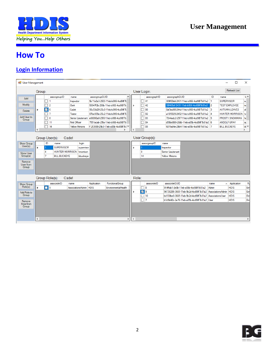

# <span id="page-5-0"></span>**How To**

### <span id="page-5-1"></span>**Login Information**

| <b>D</b> User Management |                          |                                       |                                  |                                     |               |                          |                               |                |                                                        |       |                     | □                            | $\times$      |
|--------------------------|--------------------------|---------------------------------------|----------------------------------|-------------------------------------|---------------|--------------------------|-------------------------------|----------------|--------------------------------------------------------|-------|---------------------|------------------------------|---------------|
|                          | Group:                   |                                       |                                  |                                     |               | User Login:              |                               |                |                                                        |       |                     | Refresh List                 |               |
| Add                      |                          | assocgroupID                          | name                             | assocgroupGUID                      | $\wedge$      |                          |                               | assocgraphID   | assocgraphGUID                                         | ID    | name                |                              | $k \wedge$    |
|                          |                          | $\Box$ 1                              | Inspector                        | 5b11a0e3-2503-11eb-b866-4cd98f7t    |               |                          | $\Box$ 41                     |                | 309f00dd-2431-11eb-b866-4cd98f7b81a2                   | 1     | <b>SUPERVISOR</b>   |                              | <b>SL</b>     |
| Modify                   |                          | $\Box$ 2                              | Clerk                            | 55947f2b-250b-11eb-b866-4cd98f7b    |               |                          | □                             | 42             | 30f465cf-2431-11eb-b866-4cd98f7b81a2                   | 12    |                     | <b>TEST EMPLOYEE</b>         | te            |
| Delete                   |                          | $\boxed{2}$ 6                         | Cadet                            | 95c53d20-25c0-11eb-b866-4cd98f7t    |               |                          | П                             | 80             | 0af3ed08-244d-11eb-b866-4cd98f7b81a2 3                 |       |                     | <b>AUTUMN LEAVES</b>         | al            |
|                          |                          | П<br>7                                | Tester                           | 07be939a-25c2-11eb-b866-4cd98f7t    |               |                          | П                             | 82             | a13f5029-2452-11eb-b866-4cd98f7b81a2 4                 |       |                     | <b>HUNTER MORRISON</b>       | hr            |
| Add User to<br>Group     |                          | Е<br>8                                | Senior Lieutenant                | e68060a0-25f0-11eb-b866-4cd98f7b    |               |                          |                               | 83             | 7244adc2-25f7-11eb-b866-4cd98f7b81a2 5                 |       |                     | <b>FROSTY SNOWMAN</b>        | fs            |
|                          |                          | П<br>11                               | <b>First Officer</b>             | 7551acab-25fa-11eb-b866-4cd98f7b    |               |                          | П                             | 84             | d59bd869-28db-11eb-a85b-4cd98f7b81a2 6                 |       | <b>ANDOLF GRAY</b>  |                              | aç            |
|                          |                          | $\Box$ 14                             | <b>Yellow Minions</b>            | f12f3599-29b3-11eb-a85b-4cd98f7b8 V |               |                          | $\Box$ 85                     |                | 681fad4e-29b4-11eb-a85b-4cd98f7b81a2 7                 |       | <b>BILL BUCKEYE</b> |                              | bł v          |
|                          | $\hat{~}$                |                                       |                                  |                                     | $\rightarrow$ | $\overline{\phantom{a}}$ |                               |                |                                                        |       |                     |                              | $\rightarrow$ |
|                          |                          | Group User(s):                        | Cadet                            |                                     |               |                          |                               | User Group(s): |                                                        |       |                     |                              |               |
| <b>Show Group</b>        |                          | ID<br>name                            | login                            |                                     |               |                          |                               | assocgroupID   | name                                                   |       |                     |                              |               |
| User(s)                  |                          | <b>SUPERVISOR</b>                     | supervisor                       |                                     |               |                          |                               |                | Inspector                                              |       |                     |                              |               |
| <b>Show User</b>         |                          | 4                                     | <b>HUNTER MORRISON hmorrison</b> |                                     |               |                          | 8                             |                | Senior Lieutenant                                      |       |                     |                              |               |
| Group(s)                 |                          | $\overline{7}$<br><b>BILL BUCKEYE</b> | bbuckeve                         |                                     |               |                          | 14                            |                | <b>Yellow Minions</b>                                  |       |                     |                              |               |
| Remove                   |                          |                                       |                                  |                                     |               |                          |                               |                |                                                        |       |                     |                              |               |
| User from                |                          |                                       |                                  |                                     |               |                          |                               |                |                                                        |       |                     |                              |               |
| Group                    |                          |                                       |                                  |                                     |               |                          |                               |                |                                                        |       |                     |                              |               |
|                          |                          |                                       |                                  |                                     |               |                          |                               |                |                                                        |       |                     |                              |               |
|                          |                          | Group Role(s):                        | Cadet                            |                                     |               | Role:                    |                               |                |                                                        |       |                     |                              |               |
| <b>Show Group</b>        |                          | assocroleID                           | name                             | FunctionalGroup<br>Application      |               |                          |                               | assocroleID    | assocroleGUID                                          | name  |                     | $\blacktriangle$ Application | Fu            |
| Role(s)                  | ь                        | $\Box$ 9                              | Associations Admin   HDIS        | EnvironmentalHealth                 |               |                          | $\Box$ 8                      |                | 914ffab1-2e8b-11eb-a85b-4cd98f7b81a2                   | Admin |                     | <b>HDIS</b>                  | En            |
| Add Role to              |                          |                                       |                                  |                                     |               | ۱                        | $\overline{\triangleright}$ 9 |                | 94738286-3665-11eb-9b2d-4cd98f7b81a2 AssociationsAdmin |       |                     | <b>HDIS</b>                  | En            |
| Group                    |                          |                                       |                                  |                                     |               |                          | □                             | 10             | bd130be0-3665-11eb-9b2d-4cd98f7b81a2 AssociationsUser  |       |                     | <b>HDIS</b>                  | En            |
| Remove                   |                          |                                       |                                  |                                     |               |                          | $\Box$ 7                      |                | b1d9d40c-2e76-11eb-a85b-4cd98f7b81a2 User              |       |                     | <b>HDIS</b>                  | Em            |
| Role from<br>Group       |                          |                                       |                                  |                                     |               |                          |                               |                |                                                        |       |                     |                              |               |
|                          |                          |                                       |                                  |                                     |               |                          |                               |                |                                                        |       |                     |                              |               |
|                          |                          |                                       |                                  |                                     |               |                          |                               |                |                                                        |       |                     |                              |               |
|                          | $\overline{\phantom{a}}$ |                                       |                                  |                                     | $\rightarrow$ | $\,<\,$                  |                               |                |                                                        |       |                     |                              | $\rightarrow$ |
|                          |                          |                                       |                                  |                                     |               |                          |                               |                |                                                        |       |                     |                              |               |

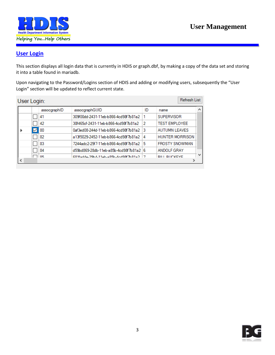

#### <span id="page-6-0"></span>**User Login**

This section displays all login data that is currently in HDIS or graph.dbf, by making a copy of the data set and storing it into a table found in mariadb.

Upon navigating to the Password/Logins section of HDIS and adding or modifying users, subsequently the "User Login" section will be updated to reflect current state.

|  | assocgraphID | assocgraphGUID                           | ID | name                   | ∧ |
|--|--------------|------------------------------------------|----|------------------------|---|
|  | 41           | 309f00dd-2431-11eb-b866-4cd98f7b81a2     |    | <b>SUPERVISOR</b>      |   |
|  | 42           | 30f465cf-2431-11eb-b866-4cd98f7b81a2     | 2  | <b>TEST EMPLOYEE</b>   |   |
|  | 80           | 0af3ed08-244d-11eb-b866-4cd98f7b81a2     | 13 | <b>AUTUMN LEAVES</b>   |   |
|  | 82           | a13f5029-2452-11eb-b866-4cd98f7b81a2     | 4  | <b>HUNTER MORRISON</b> |   |
|  | 83           | 7244adc2-25f7-11eb-b866-4cd98f7b81a2     | 5  | <b>FROSTY SNOWMAN</b>  |   |
|  | 84           | d59bd869-28db-11eb-a85b-4cd98f7b81a2   6 |    | <b>ANDOLF GRAY</b>     |   |
|  | 0F           | 681fadde.29bd.11ab.a85b.dod9867b81a2   7 |    | <b>RILL BLICKEYE</b>   | v |

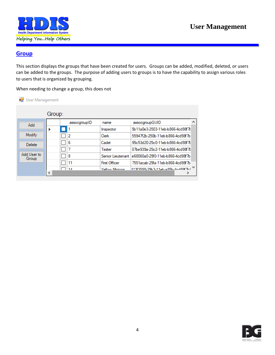

#### <span id="page-7-0"></span>**Group**

This section displays the groups that have been created for users. Groups can be added, modified, deleted, or users can be added to the groups. The purpose of adding users to groups is to have the capability to assign various roles to users that is organized by grouping.

When needing to change a group, this does not

| ■ User Management |  |  |  |  |  |  |  |
|-------------------|--|--|--|--|--|--|--|

**Health Department Information System** Helping You...Help Others

<span id="page-7-1"></span>

|                      | Group: |                |                       |                                                      |  |
|----------------------|--------|----------------|-----------------------|------------------------------------------------------|--|
| Add                  |        | assocgroupID   | name                  | assocgroupGUID                                       |  |
|                      |        |                | Inspector             | 5b11a0e3-2503-11eb-b866-4cd98f7t                     |  |
| Modify               |        | 2              | Clerk                 | 5594772b-250b-11eb-b866-4cd98f7b                     |  |
| Delete               |        | 6              | Cadet                 | 95c53d20-25c0-11eb-b866-4cd98f7t                     |  |
|                      |        |                | Tester                | 07be939a-25c2-11eb-b866-4cd98f7t                     |  |
| Add User to<br>Group |        | 8              |                       | Senior Lieutenant   e68060a0-25f0-11eb-b866-4cd98f7b |  |
|                      |        | 11             | <b>First Officer</b>  | 7551acab-25fa-11eb-b866-4cd98f7b                     |  |
|                      |        | 1 <sub>A</sub> | <b>Yallow Minione</b> | £1022599.0963.11ab.a856.4cd98765                     |  |
|                      |        |                |                       |                                                      |  |

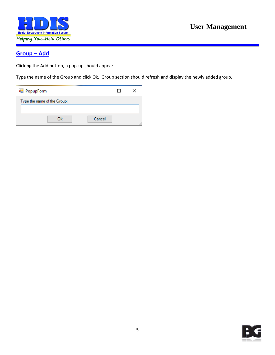

### **Group – Add**

Clicking the Add button, a pop-up should appear.

Type the name of the Group and click Ok. Group section should refresh and display the newly added group.

| <b>PopupForm</b>            |        | H | × |
|-----------------------------|--------|---|---|
| Type the name of the Group: |        |   |   |
| Ok                          | Cancel |   |   |

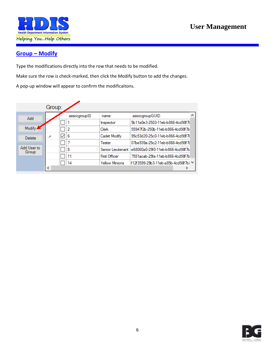

#### <span id="page-9-0"></span>**Group – Modify**

Type the modifications directly into the row that needs to be modified.

Make sure the row is check-marked, then click the Modify button to add the changes.

A pop-up window will appear to confirm the modificaitons.

|                      | Group:        |              |                       |                                    |  |
|----------------------|---------------|--------------|-----------------------|------------------------------------|--|
| Add                  |               | assocgroupID | name                  | assocgroupGUID                     |  |
|                      |               |              | Inspector             | 5b11a0e3-2503-11eb-b866-4cd98f7t   |  |
| Modify               |               | 2            | Clerk                 | 5594772b-250b-11eb-b866-4cd98f7b   |  |
| Delete               | $\mathscr{M}$ | 6            | Cadet Modify          | 95c53d20-25c0-11eb-b866-4cd98f7t   |  |
|                      |               |              | Tester                | 07be939a-25c2-11eb-b866-4cd98f7t   |  |
| Add User to<br>Group |               | 8            | Senior Lieutenant     | e68060a0-25f0-11eb-b866-4cd98f7b   |  |
|                      |               | 11           | <b>First Officer</b>  | 7551acab-25fa-11eb-b866-4cd98f7b   |  |
|                      |               | 14           | <b>Yellow Minions</b> | f12f3599-29b3-11eb-a85b-4cd98f7bl∨ |  |
|                      |               |              |                       |                                    |  |

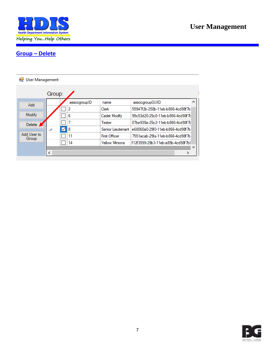

### <span id="page-10-0"></span>**Group – Delete**

| <b>D</b> User Management |               |              |                       |                                   |   |
|--------------------------|---------------|--------------|-----------------------|-----------------------------------|---|
|                          | Group:        |              |                       |                                   |   |
| Add                      |               | assocgroupID | name                  | assocgroupGUID                    | ∧ |
|                          |               |              | Clerk                 | 5594772b-250b-11eb-b866-4cd98f7b  |   |
| Modify                   |               | 6            | Cadet Modify          | 95c53d20-25c0-11eb-b866-4cd98f7t  |   |
| Delete                   |               |              | Tester                | 07be939a-25c2-11eb-b866-4cd98f7t  |   |
|                          | $\mathscr{M}$ | 8            | Senior Lieutenant     | e68060a0-25f0-11eb-b866-4cd98f7b  |   |
| Add User to<br>Group     |               | 11           | <b>First Officer</b>  | 7551acab-25fa-11eb-b866-4cd98f7b  |   |
|                          |               | 14           | <b>Yellow Minions</b> | f12f3599-29b3-11eb-a85b-4cd98f7b8 |   |
|                          |               |              |                       |                                   | v |
|                          |               |              |                       |                                   |   |

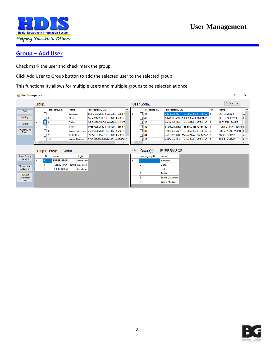$\Box$ 

 $\times$ 



### <span id="page-11-0"></span>**Group – Add User**

Check mark the user and check mark the group.

Click Add User to Group button to add the selected user to the selected group.

This functionality allows for multiple users and multiple groups to be selected at once.

**a** User Management

|                      | Group: |            |                         |                       |                                     |  |                | User Login:                 |                                        |    | Refresh List              |             |
|----------------------|--------|------------|-------------------------|-----------------------|-------------------------------------|--|----------------|-----------------------------|----------------------------------------|----|---------------------------|-------------|
| Add                  |        |            | assocgroupID            | name                  | assocgroupGUID                      |  |                | assocgraphID                | assocgraphGUID                         | ID | name                      | $k \wedge$  |
|                      |        | □          |                         | Inspector             | 5b11a0e3-2503-11eb-b866-4cd98f7t    |  | $\boxed{2}$ 41 |                             | 309f00dd-2431-11eb-b866-4cd98f7b81a2   |    | <b>SUPERVISOR</b>         | SL          |
| Modify               |        | $\Box$     |                         | <b>Clerk</b>          | 55947f2b-250b-11eb-b866-4cd98f7b    |  |                | 42                          | 30f465cf-2431-11eb-b866-4cd98f7b81a2   | 12 | <b>TEST EMPLOYEE</b>      | te          |
| Delete               |        | $\sqrt{6}$ |                         | Cadet                 | 95c53d20-25c0-11eb-b866-4cd98f7t    |  |                | $\Box$ 80                   | 0af3ed08-244d-11eb-b866-4cd98f7b81a2 3 |    | <b>AUTUMN LEAVES</b>      | al          |
|                      |        |            |                         | Tester                | 07be939a-25c2-11eb-b866-4cd98f7t    |  |                | 82                          | a13f5029-2452-11eb-b866-4cd98f7b81a2 4 |    | <b>HUNTER MORRISON In</b> |             |
| Add User to<br>Group |        | o          | 8                       | Senior Lieutenant     | e68060a0-25f0-11eb-b866-4cd98f7b    |  |                | $\overline{\phantom{0}}$ 83 | 7244adc2-25f7-11eb-b866-4cd98f7b81a2 5 |    | <b>FROSTY SNOWMAN</b>     | $f_{\rm S}$ |
|                      |        | ا ل        |                         | <b>First Officer</b>  | 7551acab-25fa-11eb-b866-4cd98f7b    |  |                | 84                          | d59bd869-28db-11eb-a85b-4cd98f7b81a2 6 |    | <b>ANDOLF GRAY</b>        | i ac        |
|                      |        | $\Box$ 14  |                         | <b>Yellow Minions</b> | 112f3599-29b3-11eb-a85b-4cd98f7b8 V |  |                | $\Box$ 85                   | 681fad4e-29b4-11eb-a85b-4cd98f7b81a2 7 |    | <b>BILL BUCKEYE</b>       | bł v        |
|                      |        |            |                         |                       |                                     |  |                |                             |                                        |    |                           |             |
|                      |        |            | Cadet<br>Group User(s): |                       |                                     |  |                | User Group(s):              | <b>SUPERVISOR</b>                      |    |                           |             |

|                       |    | ------                           |            |  | .            |                       |  |
|-----------------------|----|----------------------------------|------------|--|--------------|-----------------------|--|
| Show Group            | ID | name                             | login      |  | assocgroupID | name                  |  |
|                       |    | <b>SUPERVISOR</b>                | supervisor |  |              | Inspector             |  |
|                       |    | <b>HUNTER MORRISON Innomison</b> |            |  |              | <b>Clerk</b>          |  |
| Show User<br>Group(s) |    | <b>BILL BUCKEYE</b>              | bbuckeye   |  |              | Cadet                 |  |
| Remove                |    |                                  |            |  |              | Tester                |  |
| User from<br>Group    |    |                                  |            |  |              | Senior Lieutenant     |  |
|                       |    |                                  |            |  | 14           | <b>Yellow Minions</b> |  |
|                       |    |                                  |            |  |              |                       |  |

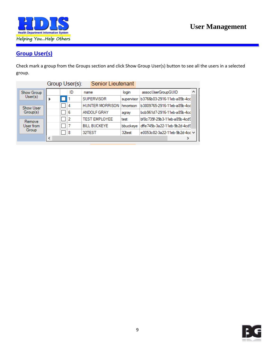

### <span id="page-12-0"></span>**Group User(s)**

Check mark a group from the Groups section and click Show Group User(s) button to see all the users in a selected group.

|                  |  | Group User(s): |                           | <b>Senior Lieutenant</b> |            |                               |  |   |
|------------------|--|----------------|---------------------------|--------------------------|------------|-------------------------------|--|---|
| Show Group       |  | ID             | name<br><b>SUPERVISOR</b> |                          | login      | assocUserGroupGUID            |  | ∧ |
| User(s)          |  |                |                           |                          | supervisor | b3766b03-2916-11eb-a85b-4cd   |  |   |
| <b>Show User</b> |  | 4              |                           | <b>HUNTER MORRISON</b>   | hmomson    | b3809765-2916-11eb-a85b-4cd   |  |   |
| Group(s)         |  | 6              |                           | <b>ANDOLF GRAY</b>       | agray      | bcb961d7-2916-11eb-a85b-4cd   |  |   |
| Remove           |  | 2              |                           | <b>TEST EMPLOYEE</b>     | test       | hf8c735f-29b3-11eb-a85b-4cd9  |  |   |
| User from        |  |                |                           | <b>BILL BUCKEYE</b>      | bbuckeye   | dffe745b-3a22-11eb-9b2d-4cdS  |  |   |
| Group            |  | 8              | 32TEST                    |                          | $32$ test  | e0053c82-3a22-11eb-9b2d-4cd v |  |   |
|                  |  |                |                           |                          |            |                               |  |   |

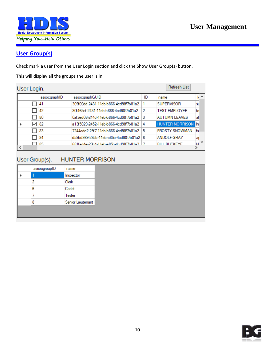

### <span id="page-13-0"></span>**User Group(s)**

Check mark a user from the User Login section and click the Show User Group(s) button.

This will display all the groups the user is in.

| User Login:  |              |                                            |    | Refresh List              |             |                     |
|--------------|--------------|--------------------------------------------|----|---------------------------|-------------|---------------------|
|              | assocgraphID | assocgraphGUID                             | ID | name                      |             | $\mathbf{k}$ $\sim$ |
|              | 41           | 309f00dd-2431-11eb-b866-4cd98f7b81a2       |    | <b>SUPERVISOR</b>         | Sl          |                     |
|              | 42           | 30f465cf-2431-11eb-b866-4cd98f7b81a2       | 2  | <b>TEST EMPLOYEE</b>      | te          |                     |
|              | 80           | 0af3ed08-244d-11eb-b866-4cd98f7b81a2       | 13 | <b>AUTUMN LEAVES</b>      | al          |                     |
| $\checkmark$ | 82           | a13f5029-2452-11eb-b866-4cd98f7b81a2       | 4  | <b>HUNTER MORRISON In</b> |             |                     |
|              | 83           | 7244adc2-25f7-11eb-b866-4cd98f7b81a2       | 5  | <b>FROSTY SNOWMAN</b>     | $f_{\rm S}$ |                     |
|              | 84           | d59bd869-28db-11eb-a85b-4cd98f7b81a2   6   |    | <b>ANDOLF GRAY</b>        | aç          |                     |
|              | <b>QF</b>    | 681Fadde, 2964, 11ab.a856, 4cd98F7681a2 17 |    | <b>BILL BLICKEVE</b>      | ы           | v                   |

### User Group(s): HUNTER MORRISON

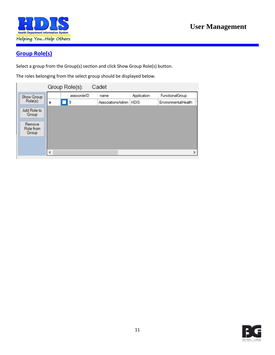

### <span id="page-14-0"></span>**Group Role(s)**

J.

Select a group from the Group(s) section and click Show Group Role(s) button.

The roles belonging from the select group should be displayed below.

|                              |   | Group Role(s): | Cadet                     |             |                     |
|------------------------------|---|----------------|---------------------------|-------------|---------------------|
| Show Group                   |   | assocroleID    | name                      | Application | FunctionalGroup     |
| Role(s)                      |   | 9              | Associations Admin   HDIS |             | EnvironmentalHealth |
| Add Role to<br>Group         |   |                |                           |             |                     |
| Remove<br>Role from<br>Group |   |                |                           |             |                     |
|                              | € |                |                           |             |                     |
|                              |   |                |                           |             |                     |

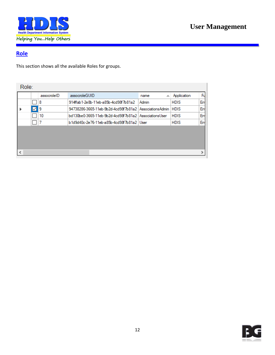

### <span id="page-15-0"></span>**Role**

This section shows all the available Roles for groups.

| Role: |             |                                                           |           |             |    |  |  |  |  |  |
|-------|-------------|-----------------------------------------------------------|-----------|-------------|----|--|--|--|--|--|
|       | assocroleID | assocroleGUID                                             | 盀<br>name | Application | Fu |  |  |  |  |  |
|       | 8           | 914ffab1-2e8b-11eb-a85b-4cd98f7b81a2                      | Admin     | <b>HDIS</b> | En |  |  |  |  |  |
| ✓     | 19          | 94738286-3665-11eb-9b2d-4cd98f7b81a2   Associations Admin |           | <b>HDIS</b> | En |  |  |  |  |  |
|       | 10          | bd130be0-3665-11eb-9b2d-4cd98f7b81a2   AssociationsUser   |           | <b>HDIS</b> | En |  |  |  |  |  |
|       |             | b1d9d40c-2e76-11eb-a85b-4cd98f7b81a2   User               |           | <b>HDIS</b> | Em |  |  |  |  |  |
|       |             |                                                           |           |             |    |  |  |  |  |  |
|       |             |                                                           |           |             |    |  |  |  |  |  |
|       |             |                                                           |           |             |    |  |  |  |  |  |
|       |             |                                                           |           |             |    |  |  |  |  |  |

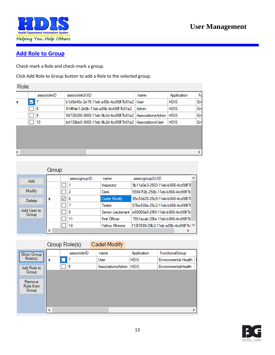

### **Add Role to Group**

Check-mark a Role and check-mark a group.

Click Add Role to Group button to add a Role to the selected group.

| Role: |   |             |                                                           |       |             |    |
|-------|---|-------------|-----------------------------------------------------------|-------|-------------|----|
|       |   | assocroleID | assocroleGUID                                             | name  | Application | F  |
|       | ✓ |             | b1d9d40c-2e76-11eb-a85b-4cd98f7b81a2 User                 |       | <b>HDIS</b> | En |
|       |   | 8           | 914ffab1-2e8b-11eb-a85b-4cd98f7b81a2                      | Admin | <b>HDIS</b> | En |
|       |   | 9           | 94738286-3665-11eb-9b2d-4cd98f7b81a2   Associations Admin |       | <b>HDIS</b> | En |
|       |   | 10          | bd130be0-3665-11eb-9b2d-4cd98f7b81a2   AssociationsUser   |       | <b>HDIS</b> | En |
|       |   |             |                                                           |       |             |    |
|       |   |             |                                                           |       |             |    |
|       |   |             |                                                           |       |             |    |
|       |   |             |                                                           |       |             | ⋗  |

|                      | Group: |     |                |                       |                                     |  |
|----------------------|--------|-----|----------------|-----------------------|-------------------------------------|--|
| Add                  |        |     | assocgroupID   | name                  | assocgroupGUID                      |  |
|                      |        |     |                | Inspector             | 5b11a0e3-2503-11eb-b866-4cd98f7t    |  |
| Modify               |        |     | $\overline{2}$ | Clerk                 | 5594772b-250b-11eb-b866-4cd98f7b    |  |
| <b>Delete</b>        |        | ⊡ ୋ |                | Cadet Modify          | 95c53d20-25c0-11eb-b866-4cd98f7t    |  |
|                      |        |     | 7              | Tester                | 07be939a-25c2-11eb-b866-4cd98f7t    |  |
| Add User to<br>Group |        |     | 8              | Senior Lieutenant     | e68060a0-25f0-11eb-b866-4cd98f7b    |  |
|                      |        |     | 11             | <b>First Officer</b>  | 7551acab-25fa-11eb-b866-4cd98f7b    |  |
|                      |        |     | 14             | <b>Yellow Minions</b> | f12f3599-29b3-11eb-a85b-4cd98f7bl → |  |
|                      |        |     |                |                       |                                     |  |

### Group Role(s):

| <b>Cadet Modify</b> |
|---------------------|
|---------------------|

| Show Group                   |  | assocroleID | name                      | Application | FunctionalGroup             |               |
|------------------------------|--|-------------|---------------------------|-------------|-----------------------------|---------------|
| Role(s)                      |  |             | User                      | <b>HDIS</b> | <b>Environmental Health</b> |               |
| Add Role to                  |  | 9           | Associations Admin   HDIS |             | EnvironmentalHealth         |               |
| Group                        |  |             |                           |             |                             |               |
| Remove<br>Role from<br>Group |  |             |                           |             |                             |               |
|                              |  |             |                           |             |                             | $\rightarrow$ |